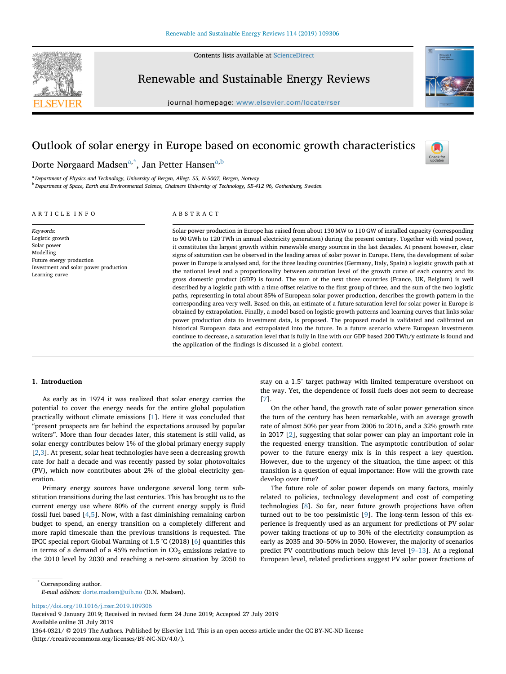

Contents lists available at [ScienceDirect](http://www.sciencedirect.com/science/journal/13640321)

# Renewable and Sustainable Energy Reviews

journal homepage: [www.elsevier.com/locate/rser](https://www.elsevier.com/locate/rser)



# Outlook of solar energy in Europe based on economic growth characteristics



Dorte Nørgaard Madsen<sup>a,[\\*](#page-0-1)</sup>, J[a](#page-0-0)n Petter Hansen<sup>a[,b](#page-0-2)</sup>

<span id="page-0-2"></span><span id="page-0-0"></span><sup>a</sup> *Department of Physics and Technology, University of Bergen, Allegt. 55, N-5007, Bergen, Norway* <sup>b</sup> *Department of Space, Earth and Environmental Science, Chalmers University of Technology, SE-412 96, Gothenburg, Sweden*

## ARTICLE INFO

Future energy production

Investment and solar power production

*Keywords:* Logistic growth Solar power Modelling

Learning curve

## ABSTRACT

Solar power production in Europe has raised from about 130 MW to 110 GW of installed capacity (corresponding to 90 GWh to 120 TWh in annual electricity generation) during the present century. Together with wind power, it constitutes the largest growth within renewable energy sources in the last decades. At present however, clear signs of saturation can be observed in the leading areas of solar power in Europe. Here, the development of solar power in Europe is analysed and, for the three leading countries (Germany, Italy, Spain) a logistic growth path at the national level and a proportionality between saturation level of the growth curve of each country and its gross domestic product (GDP) is found. The sum of the next three countries (France, UK, Belgium) is well described by a logistic path with a time offset relative to the first group of three, and the sum of the two logistic paths, representing in total about 85% of European solar power production, describes the growth pattern in the corresponding area very well. Based on this, an estimate of a future saturation level for solar power in Europe is obtained by extrapolation. Finally, a model based on logistic growth patterns and learning curves that links solar power production data to investment data, is proposed. The proposed model is validated and calibrated on historical European data and extrapolated into the future. In a future scenario where European investments continue to decrease, a saturation level that is fully in line with our GDP based 200 TWh/y estimate is found and the application of the findings is discussed in a global context.

### **1. Introduction**

As early as in 1974 it was realized that solar energy carries the potential to cover the energy needs for the entire global population practically without climate emissions [[1](#page-4-0)]. Here it was concluded that "present prospects are far behind the expectations aroused by popular writers". More than four decades later, this statement is still valid, as solar energy contributes below 1% of the global primary energy supply [[2](#page-4-1),[3](#page-4-2)]. At present, solar heat technologies have seen a decreasing growth rate for half a decade and was recently passed by solar photovoltaics (PV), which now contributes about 2% of the global electricity generation.

Primary energy sources have undergone several long term substitution transitions during the last centuries. This has brought us to the current energy use where 80% of the current energy supply is fluid fossil fuel based [\[4,](#page-4-3)[5\]](#page-4-4). Now, with a fast diminishing remaining carbon budget to spend, an energy transition on a completely different and more rapid timescale than the previous transitions is requested. The IPCC special report Global Warming of 1.5 °C (2018) [[6](#page-4-5)] quantifies this in terms of a demand of a 45% reduction in  $CO<sub>2</sub>$  emissions relative to the 2010 level by 2030 and reaching a net-zero situation by 2050 to stay on a 1.5° target pathway with limited temperature overshoot on the way. Yet, the dependence of fossil fuels does not seem to decrease [[7](#page-5-0)].

On the other hand, the growth rate of solar power generation since the turn of the century has been remarkable, with an average growth rate of almost 50% per year from 2006 to 2016, and a 32% growth rate in 2017 [\[2](#page-4-1)], suggesting that solar power can play an important role in the requested energy transition. The asymptotic contribution of solar power to the future energy mix is in this respect a key question. However, due to the urgency of the situation, the time aspect of this transition is a question of equal importance: How will the growth rate develop over time?

The future role of solar power depends on many factors, mainly related to policies, technology development and cost of competing technologies [\[8\]](#page-5-1). So far, near future growth projections have often turned out to be too pessimistic [[9](#page-5-2)]. The long-term lesson of this experience is frequently used as an argument for predictions of PV solar power taking fractions of up to 30% of the electricity consumption as early as 2035 and 30–50% in 2050. However, the majority of scenarios predict PV contributions much below this level [\[9–13\]](#page-5-2). At a regional European level, related predictions suggest PV solar power fractions of

<span id="page-0-1"></span>\* Corresponding author.

*E-mail address:* [dorte.madsen@uib.no](mailto:dorte.madsen@uib.no) (D.N. Madsen).

<https://doi.org/10.1016/j.rser.2019.109306>

Received 9 January 2019; Received in revised form 24 June 2019; Accepted 27 July 2019 Available online 31 July 2019

1364-0321/ © 2019 The Authors. Published by Elsevier Ltd. This is an open access article under the CC BY-NC-ND license (http://creativecommons.org/licenses/BY-NC-ND/4.0/).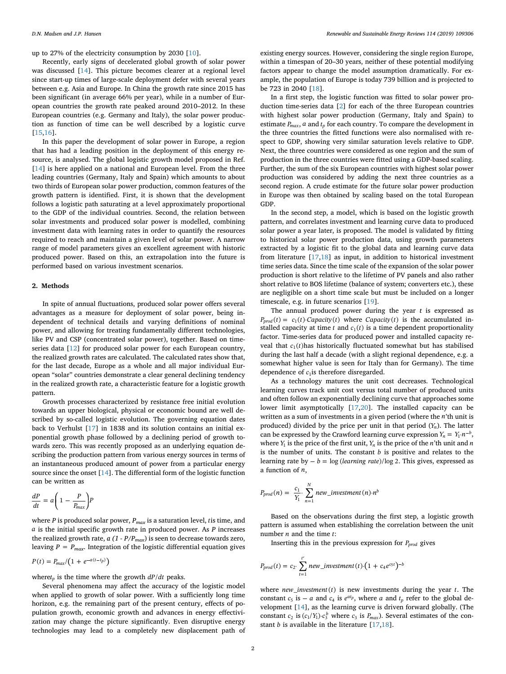up to 27% of the electricity consumption by 2030 [\[10](#page-5-3)].

Recently, early signs of decelerated global growth of solar power was discussed [[14\]](#page-5-4). This picture becomes clearer at a regional level since start-up times of large-scale deployment defer with several years between e.g. Asia and Europe. In China the growth rate since 2015 has been significant (in average 66% per year), while in a number of European countries the growth rate peaked around 2010–2012. In these European countries (e.g. Germany and Italy), the solar power production as function of time can be well described by a logistic curve [[15](#page-5-5)[,16](#page-5-6)].

In this paper the development of solar power in Europe, a region that has had a leading position in the deployment of this energy resource, is analysed. The global logistic growth model proposed in Ref. [[14\]](#page-5-4) is here applied on a national and European level. From the three leading countries (Germany, Italy and Spain) which amounts to about two thirds of European solar power production, common features of the growth pattern is identified. First, it is shown that the development follows a logistic path saturating at a level approximately proportional to the GDP of the individual countries. Second, the relation between solar investments and produced solar power is modelled, combining investment data with learning rates in order to quantify the resources required to reach and maintain a given level of solar power. A narrow range of model parameters gives an excellent agreement with historic produced power. Based on this, an extrapolation into the future is performed based on various investment scenarios.

### **2. Methods**

In spite of annual fluctuations, produced solar power offers several advantages as a measure for deployment of solar power, being independent of technical details and varying definitions of nominal power, and allowing for treating fundamentally different technologies, like PV and CSP (concentrated solar power), together. Based on timeseries data [[12\]](#page-5-7) for produced solar power for each European country, the realized growth rates are calculated. The calculated rates show that, for the last decade, Europe as a whole and all major individual European "solar" countries demonstrate a clear general declining tendency in the realized growth rate, a characteristic feature for a logistic growth pattern.

Growth processes characterized by resistance free initial evolution towards an upper biological, physical or economic bound are well described by so-called logistic evolution. The governing equation dates back to Verhulst [[17\]](#page-5-8) in 1838 and its solution contains an initial exponential growth phase followed by a declining period of growth towards zero. This was recently proposed as an underlying equation describing the production pattern from various energy sources in terms of an instantaneous produced amount of power from a particular energy source since the onset [[14\]](#page-5-4). The differential form of the logistic function can be written as

$$
\frac{dP}{dt} = a \left( 1 - \frac{P}{P_{max}} \right) P
$$

where *P* is produced solar power, *Pmax* is a saturation level, *t* is time, and *a* is the initial specific growth rate in produced power. As *P* increases the realized growth rate,  $a(1 - P/P_{max})$  is seen to decrease towards zero, leaving  $P = P_{max}$ . Integration of the logistic differential equation gives

$$
P(t) = P_{max}/\big(1 + e^{-a(t-t_p)}\big)
$$

where $t_p$  is the time where the growth  $dP/dt$  peaks.

Several phenomena may affect the accuracy of the logistic model when applied to growth of solar power. With a sufficiently long time horizon, e.g. the remaining part of the present century, effects of population growth, economic growth and advances in energy effectivization may change the picture significantly. Even disruptive energy technologies may lead to a completely new displacement path of

existing energy sources. However, considering the single region Europe, within a timespan of 20–30 years, neither of these potential modifying factors appear to change the model assumption dramatically. For example, the population of Europe is today 739 billion and is projected to be 723 in 2040 [\[18](#page-5-9)].

In a first step, the logistic function was fitted to solar power production time-series data [\[2\]](#page-4-1) for each of the three European countries with highest solar power production (Germany, Italy and Spain) to estimate  $P_{max}$ ,  $a$  and  $t_p$  for each country. To compare the development in the three countries the fitted functions were also normalised with respect to GDP, showing very similar saturation levels relative to GDP. Next, the three countries were considered as one region and the sum of production in the three countries were fitted using a GDP-based scaling. Further, the sum of the six European countries with highest solar power production was considered by adding the next three countries as a second region. A crude estimate for the future solar power production in Europe was then obtained by scaling based on the total European GDP.

In the second step, a model, which is based on the logistic growth pattern, and correlates investment and learning curve data to produced solar power a year later, is proposed. The model is validated by fitting to historical solar power production data, using growth parameters extracted by a logistic fit to the global data and learning curve data from literature [[17,](#page-5-8)[18\]](#page-5-9) as input, in addition to historical investment time series data. Since the time scale of the expansion of the solar power production is short relative to the lifetime of PV panels and also rather short relative to BOS lifetime (balance of system; converters etc.), these are negligible on a short time scale but must be included on a longer timescale, e.g. in future scenarios [[19\]](#page-5-10).

The annual produced power during the year *t* is expressed as  $P_{prod}(t) = c_1(t)$ *Capacity*(*t*) where *Capacity*(*t*) is the accumulated installed capacity at time  $t$  and  $c_1(t)$  is a time dependent proportionality factor. Time-series data for produced power and installed capacity reveal that  $c_1(t)$  has historically fluctuated somewhat but has stabilised during the last half a decade (with a slight regional dependence, e.g. a somewhat higher value is seen for Italy than for Germany). The time dependence of  $c_1$ is therefore disregarded.

As a technology matures the unit cost decreases. Technological learning curves track unit cost versus total number of produced units and often follow an exponentially declining curve that approaches some lower limit asymptotically [\[17](#page-5-8),[20\]](#page-5-11). The installed capacity can be written as a sum of investments in a given period (where the *n*'th unit is produced) divided by the price per unit in that period ( *Yn*). The latter can be expressed by the Crawford learning curve expression  $Y_n = Y_1 \cdot n^{-b}$ , where  $Y_1$  is the price of the first unit,  $Y_n$  is the price of the *n*'th unit and *n* is the number of units. The constant  $b$  is positive and relates to the learning rate by  $-b = \log (learning\ rate)/\log 2$ . This gives, expressed as a function of *n*,

$$
P_{prod}(n) = \frac{c_1}{Y_1} \cdot \sum_{n=1}^{N} new\_investment(n) \cdot n^b
$$

Based on the observations during the first step, a logistic growth pattern is assumed when establishing the correlation between the unit number *n* and the time *t*:

Inserting this in the previous expression for *Pprod* gives

$$
P_{prod}(t) = c_2 \sum_{t=1}^{t'} new\_investment(t) \cdot (1 + c_4 e^{c_5 t})^{-b}
$$

where  $new\_investment(t)$  is new investments during the year  $t$ . The constant  $c_5$  is  $-a$  and  $c_4$  is  $e^{at_p}$ , where  $a$  and  $t_p$  refer to the global development [[14\]](#page-5-4), as the learning curve is driven forward globally. (The constant  $c_2$  is  $(c_1/Y_1) \cdot c_3^b$  where  $c_3$  is  $P_{max}$ ). Several estimates of the constant *b* is available in the literature [\[17](#page-5-8)[,18](#page-5-9)].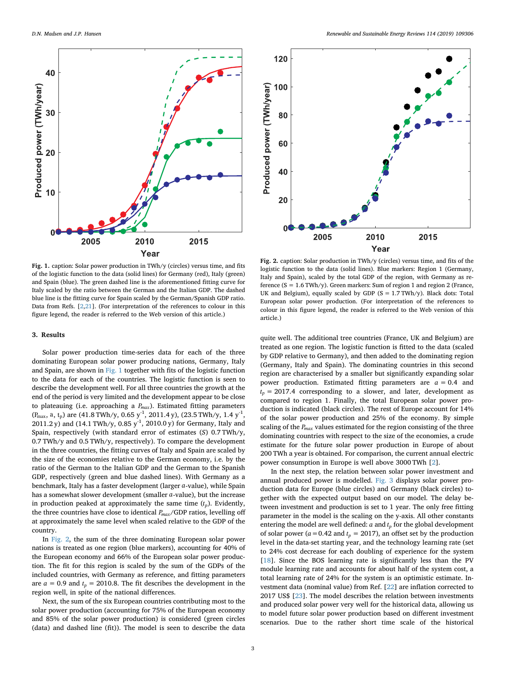<span id="page-2-0"></span>

<span id="page-2-1"></span>

**Fig. 1.** caption: Solar power production in TWh/y (circles) versus time, and fits of the logistic function to the data (solid lines) for Germany (red), Italy (green) and Spain (blue). The green dashed line is the aforementioned fitting curve for Italy scaled by the ratio between the German and the Italian GDP. The dashed blue line is the fitting curve for Spain scaled by the German/Spanish GDP ratio. Data from Refs. [\[2](#page-4-1)[,21](#page-5-14)]. (For interpretation of the references to colour in this figure legend, the reader is referred to the Web version of this article.)

### **3. Results**

Solar power production time-series data for each of the three dominating European solar power producing nations, Germany, Italy and Spain, are shown in [Fig. 1](#page-2-0) together with fits of the logistic function to the data for each of the countries. The logistic function is seen to describe the development well. For all three countries the growth at the end of the period is very limited and the development appear to be close to plateauing (i.e. approaching a *Pmax* ). Estimated fitting parameters  $(P_{\text{max}})$ , a, t<sub>p</sub>) are (41.8 TWh/y, 0.65 y<sup>-1</sup>, 2011.4 y), (23.5 TWh/y, 1.4 y<sup>-1</sup>, 2011.2 y) and (14.1 TWh/y, 0.85  $y^{-1}$ , 2010.0 y) for Germany, Italy and Spain, respectively (with standard error of estimates (*S*) 0.7 TWh/y, 0.7 TWh/y and 0.5 TWh/y, respectively). To compare the development in the three countries, the fitting curves of Italy and Spain are scaled by the size of the economies relative to the German economy, i.e. by the ratio of the German to the Italian GDP and the German to the Spanish GDP, respectively (green and blue dashed lines). With Germany as a benchmark, Italy has a faster development (larger *a*-value), while Spain has a somewhat slower development (smaller *a*-value), but the increase in production peaked at approximately the same time  $(t_p)$ . Evidently, the three countries have close to identical *Pmax*/GDP ratios, levelling off at approximately the same level when scaled relative to the GDP of the country.

In [Fig. 2](#page-2-1), the sum of the three dominating European solar power nations is treated as one region (blue markers), accounting for 40% of the European economy and 66% of the European solar power production. The fit for this region is scaled by the sum of the GDPs of the included countries, with Germany as reference, and fitting parameters are  $a = 0.9$  and  $t_p = 2010.8$ . The fit describes the development in the region well, in spite of the national differences.

Next, the sum of the six European countries contributing most to the solar power production (accounting for 75% of the European economy and 85% of the solar power production) is considered (green circles (data) and dashed line (fit)). The model is seen to describe the data

**Fig. 2.** caption: Solar production in TWh/y (circles) versus time, and fits of the logistic function to the data (solid lines). Blue markers: Region 1 (Germany, Italy and Spain), scaled by the total GDP of the region, with Germany as reference ( $S = 1.6$  TWh/y). Green markers: Sum of region 1 and region 2 (France, UK and Belgium), equally scaled by GDP  $(S = 1.7 \text{ TWh/y})$ . Black dots: Total European solar power production. (For interpretation of the references to colour in this figure legend, the reader is referred to the Web version of this article.)

quite well. The additional tree countries (France, UK and Belgium) are treated as one region. The logistic function is fitted to the data (scaled by GDP relative to Germany), and then added to the dominating region (Germany, Italy and Spain). The dominating countries in this second region are characterised by a smaller but significantly expanding solar power production. Estimated fitting parameters are  $a = 0.4$  and  $t_p$  = 2017.4 corresponding to a slower, and later, development as compared to region 1. Finally, the total European solar power production is indicated (black circles). The rest of Europe account for 14% of the solar power production and 25% of the economy. By simple scaling of the *Pmax* values estimated for the region consisting of the three dominating countries with respect to the size of the economies, a crude estimate for the future solar power production in Europe of about 200 TWh a year is obtained. For comparison, the current annual electric power consumption in Europe is well above 3000 TWh [\[2\]](#page-4-1).

In the next step, the relation between solar power investment and annual produced power is modelled. [Fig. 3](#page-3-0) displays solar power production data for Europe (blue circles) and Germany (black circles) together with the expected output based on our model. The delay between investment and production is set to 1 year. The only free fitting parameter in the model is the scaling on the y-axis. All other constants entering the model are well defined:  $a$  and  $t_p$  for the global development of solar power ( $a = 0.42$  and  $t_p = 2017$ ), an offset set by the production level in the data-set starting year, and the technology learning rate (set to 24% cost decrease for each doubling of experience for the system [[18\]](#page-5-9). Since the BOS learning rate is significantly less than the PV module learning rate and accounts for about half of the system cost, a total learning rate of 24% for the system is an optimistic estimate. Investment data (nominal value) from Ref. [\[22](#page-5-12)] are inflation corrected to 2017 US\$ [\[23](#page-5-13)]. The model describes the relation between investments and produced solar power very well for the historical data, allowing us to model future solar power production based on different investment scenarios. Due to the rather short time scale of the historical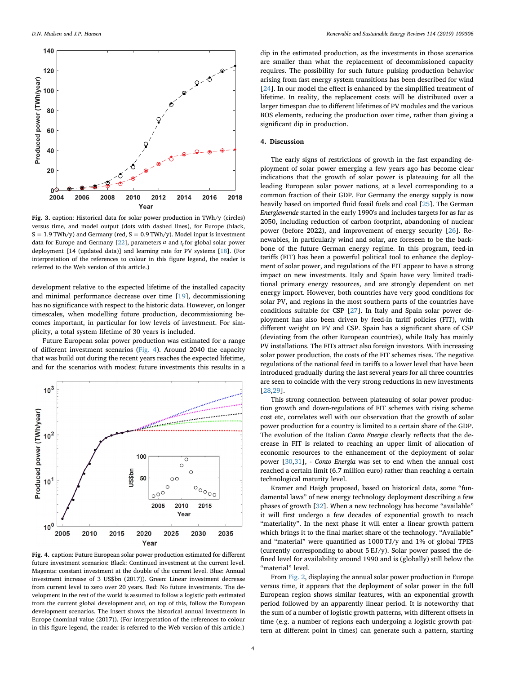<span id="page-3-0"></span>

**Fig. 3.** caption: Historical data for solar power production in TWh/y (circles) versus time, and model output (dots with dashed lines), for Europe (black,  $S = 1.9$  TWh/y) and Germany (red,  $S = 0.9$  TWh/y). Model input is investment data for Europe and Germany  $[22]$  $[22]$ , parameters  $a$  and  $t<sub>p</sub>$  for global solar power deployment [14 (updated data)] and learning rate for PV systems [\[18](#page-5-9)]. (For interpretation of the references to colour in this figure legend, the reader is referred to the Web version of this article.)

development relative to the expected lifetime of the installed capacity and minimal performance decrease over time [[19\]](#page-5-10), decommissioning has no significance with respect to the historic data. However, on longer timescales, when modelling future production, decommissioning becomes important, in particular for low levels of investment. For simplicity, a total system lifetime of 30 years is included.

Future European solar power production was estimated for a range of different investment scenarios [\(Fig. 4](#page-3-1)). Around 2040 the capacity that was build out during the recent years reaches the expected lifetime, and for the scenarios with modest future investments this results in a

<span id="page-3-1"></span>

**Fig. 4.** caption: Future European solar power production estimated for different future investment scenarios: Black: Continued investment at the current level. Magenta: constant investment at the double of the current level. Blue: Annual investment increase of 3 US\$bn (2017)). Green: Linear investment decrease from current level to zero over 20 years. Red: No future investments. The development in the rest of the world is assumed to follow a logistic path estimated from the current global development and, on top of this, follow the European development scenarios. The insert shows the historical annual investments in Europe (nominal value (2017)). (For interpretation of the references to colour in this figure legend, the reader is referred to the Web version of this article.)

dip in the estimated production, as the investments in those scenarios are smaller than what the replacement of decommissioned capacity requires. The possibility for such future pulsing production behavior arising from fast energy system transitions has been described for wind [[24\]](#page-5-15). In our model the effect is enhanced by the simplified treatment of lifetime. In reality, the replacement costs will be distributed over a larger timespan due to different lifetimes of PV modules and the various BOS elements, reducing the production over time, rather than giving a significant dip in production.

#### **4. Discussion**

The early signs of restrictions of growth in the fast expanding deployment of solar power emerging a few years ago has become clear indications that the growth of solar power is plateauing for all the leading European solar power nations, at a level corresponding to a common fraction of their GDP. For Germany the energy supply is now heavily based on imported fluid fossil fuels and coal [\[25](#page-5-16)]. The German *Energiewende* started in the early 1990's and includes targets for as far as 2050, including reduction of carbon footprint, abandoning of nuclear power (before 2022), and improvement of energy security [[26\]](#page-5-17). Renewables, in particularly wind and solar, are foreseen to be the backbone of the future German energy regime. In this program, feed-in tariffs (FIT) has been a powerful political tool to enhance the deployment of solar power, and regulations of the FIT appear to have a strong impact on new investments. Italy and Spain have very limited traditional primary energy resources, and are strongly dependent on net energy import. However, both countries have very good conditions for solar PV, and regions in the most southern parts of the countries have conditions suitable for CSP [\[27](#page-5-18)]. In Italy and Spain solar power deployment has also been driven by feed-in tariff policies (FIT), with different weight on PV and CSP. Spain has a significant share of CSP (deviating from the other European countries), while Italy has mainly PV installations. The FITs attract also foreign investors. With increasing solar power production, the costs of the FIT schemes rises. The negative regulations of the national feed in tariffs to a lower level that have been introduced gradually during the last several years for all three countries are seen to coincide with the very strong reductions in new investments [[28](#page-5-19)[,29](#page-5-20)].

This strong connection between plateauing of solar power production growth and down-regulations of FIT schemes with rising scheme cost etc, correlates well with our observation that the growth of solar power production for a country is limited to a certain share of the GDP. The evolution of the Italian *Conto Energia* clearly reflects that the decrease in FIT is related to reaching an upper limit of allocation of economic resources to the enhancement of the deployment of solar power [\[30](#page-5-21),[31\]](#page-5-22), - *Conto Energia* was set to end when the annual cost reached a certain limit (6.7 million euro) rather than reaching a certain technological maturity level.

Kramer and Haigh proposed, based on historical data, some "fundamental laws" of new energy technology deployment describing a few phases of growth [[32\]](#page-5-23). When a new technology has become "available" it will first undergo a few decades of exponential growth to reach "materiality". In the next phase it will enter a linear growth pattern which brings it to the final market share of the technology. "Available" and "material" were quantified as 1000 TJ/y and 1% of global TPES (currently corresponding to about 5 EJ/y). Solar power passed the defined level for availability around 1990 and is (globally) still below the "material" level.

From [Fig. 2](#page-2-1), displaying the annual solar power production in Europe versus time, it appears that the deployment of solar power in the full European region shows similar features, with an exponential growth period followed by an apparently linear period. It is noteworthy that the sum of a number of logistic growth patterns, with different offsets in time (e.g. a number of regions each undergoing a logistic growth pattern at different point in times) can generate such a pattern, starting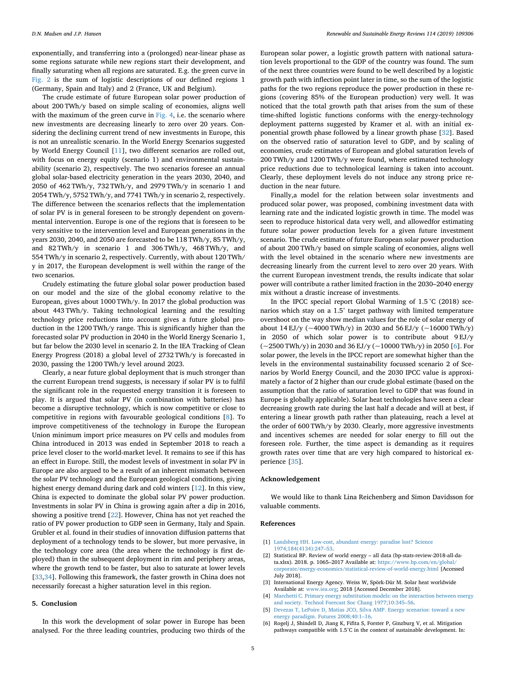exponentially, and transferring into a (prolonged) near-linear phase as some regions saturate while new regions start their development, and finally saturating when all regions are saturated. E.g. the green curve in [Fig. 2](#page-2-1) is the sum of logistic descriptions of our defined regions 1 (Germany, Spain and Italy) and 2 (France, UK and Belgium).

The crude estimate of future European solar power production of about 200 TWh/y based on simple scaling of economies, aligns well with the maximum of the green curve in  $Fig. 4$ , i.e. the scenario where new investments are decreasing linearly to zero over 20 years. Considering the declining current trend of new investments in Europe, this is not an unrealistic scenario. In the World Energy Scenarios suggested by World Energy Council [[11\]](#page-5-24), two different scenarios are rolled out, with focus on energy equity (scenario 1) and environmental sustainability (scenario 2), respectively. The two scenarios foresee an annual global solar-based electricity generation in the years 2030, 2040, and 2050 of 462 TWh/y, 732 TWh/y, and 2979 TWh/y in scenario 1 and 2054 TWh/y, 5752 TWh/y, and 7741 TWh/y in scenario 2, respectively. The difference between the scenarios reflects that the implementation of solar PV is in general foreseen to be strongly dependent on governmental intervention. Europe is one of the regions that is foreseen to be very sensitive to the intervention level and European generations in the years 2030, 2040, and 2050 are forecasted to be 118 TWh/y, 85 TWh/y, and 82 TWh/y in scenario 1 and 306 TWh/y, 468 TWh/y, and 554 TWh/y in scenario 2, respectively. Currently, with about 120 TWh/ y in 2017, the European development is well within the range of the two scenarios.

Crudely estimating the future global solar power production based on our model and the size of the global economy relative to the European, gives about 1000 TWh/y. In 2017 the global production was about 443 TWh/y. Taking technological learning and the resulting technology price reductions into account gives a future global production in the 1200 TWh/y range. This is significantly higher than the forecasted solar PV production in 2040 in the World Energy Scenario 1, but far below the 2030 level in scenario 2. In the IEA Tracking of Clean Energy Progress (2018) a global level of 2732 TWh/y is forecasted in 2030, passing the 1200 TWh/y level around 2023.

Clearly, a near future global deployment that is much stronger than the current European trend suggests, is necessary if solar PV is to fulfil the significant role in the requested energy transition it is foreseen to play. It is argued that solar PV (in combination with batteries) has become a disruptive technology, which is now competitive or close to competitive in regions with favourable geological conditions [[8](#page-5-1)]. To improve competitiveness of the technology in Europe the European Union minimum import price measures on PV cells and modules from China introduced in 2013 was ended in September 2018 to reach a price level closer to the world-market level. It remains to see if this has an effect in Europe. Still, the modest levels of investment in solar PV in Europe are also argued to be a result of an inherent mismatch between the solar PV technology and the European geological conditions, giving highest energy demand during dark and cold winters [[12\]](#page-5-7). In this view, China is expected to dominate the global solar PV power production. Investments in solar PV in China is growing again after a dip in 2016, showing a positive trend [\[22](#page-5-12)]. However, China has not yet reached the ratio of PV power production to GDP seen in Germany, Italy and Spain. Grubler et al. found in their studies of innovation diffusion patterns that deployment of a technology tends to be slower, but more pervasive, in the technology core area (the area where the technology is first deployed) than in the subsequent deployment in rim and periphery areas, where the growth tend to be faster, but also to saturate at lower levels [[33](#page-5-25)[,34](#page-5-26)]. Following this framework, the faster growth in China does not necessarily forecast a higher saturation level in this region.

#### **5. Conclusion**

In this work the development of solar power in Europe has been analysed. For the three leading countries, producing two thirds of the

European solar power, a logistic growth pattern with national saturation levels proportional to the GDP of the country was found. The sum of the next three countries were found to be well described by a logistic growth path with inflection point later in time, so the sum of the logistic paths for the two regions reproduce the power production in these regions (covering 85% of the European production) very well. It was noticed that the total growth path that arises from the sum of these time-shifted logistic functions conforms with the energy-technology deployment patterns suggested by Kramer et al. with an initial exponential growth phase followed by a linear growth phase [\[32](#page-5-23)]. Based on the observed ratio of saturation level to GDP, and by scaling of economies, crude estimates of European and global saturation levels of 200 TWh/y and 1200 TWh/y were found, where estimated technology price reductions due to technological learning is taken into account. Clearly, these deployment levels do not induce any strong price reduction in the near future.

Finally,a model for the relation between solar investments and produced solar power, was proposed, combining investment data with learning rate and the indicated logistic growth in time. The model was seen to reproduce historical data very well, and allowedfor estimating future solar power production levels for a given future investment scenario. The crude estimate of future European solar power production of about 200 TWh/y based on simple scaling of economies, aligns well with the level obtained in the scenario where new investments are decreasing linearly from the current level to zero over 20 years. With the current European investment trends, the results indicate that solar power will contribute a rather limited fraction in the 2030–2040 energy mix without a drastic increase of investments.

In the IPCC special report Global Warming of 1.5 °C (2018) scenarios which stay on a 1.5° target pathway with limited temperature overshoot on the way show median values for the role of solar energy of about 14 EJ/y ( $\sim$ 4000 TWh/y) in 2030 and 56 EJ/y ( $\sim$ 16000 TWh/y) in 2050 of which solar power is to contribute about 9 EJ/y (~2500 TWh/y) in 2030 and 36 EJ/y (~10000 TWh/y) in 2050 [[6](#page-4-5)]. For solar power, the levels in the IPCC report are somewhat higher than the levels in the environmental sustainability focussed scenario 2 of Scenarios by World Energy Council, and the 2030 IPCC value is approximately a factor of 2 higher than our crude global estimate (based on the assumption that the ratio of saturation level to GDP that was found in Europe is globally applicable). Solar heat technologies have seen a clear decreasing growth rate during the last half a decade and will at best, if entering a linear growth path rather than plateauing, reach a level at the order of 600 TWh/y by 2030. Clearly, more aggressive investments and incentives schemes are needed for solar energy to fill out the foreseen role. Further, the time aspect is demanding as it requires growth rates over time that are very high compared to historical experience [[35\]](#page-5-27).

#### **Acknowledgement**

We would like to thank Lina Reichenberg and Simon Davidsson for valuable comments.

## **References**

- <span id="page-4-0"></span>[1] [Landsberg HH. Low-cost, abundant energy: paradise lost? Science](http://refhub.elsevier.com/S1364-0321(19)30514-3/sref1) [1974;184\(4134\):247–53.](http://refhub.elsevier.com/S1364-0321(19)30514-3/sref1)
- <span id="page-4-1"></span>[2] Statistical BP. Review of world energy – all data (bp-stats-review-2018-all-data.xlsx). 2018. p. 1065–2017 Available at: [https://www.bp.com/en/global/](https://www.bp.com/en/global/corporate/energy-economics/statistical-review-of-world-energy.html) [corporate/energy-economics/statistical-review-of-world-energy.html](https://www.bp.com/en/global/corporate/energy-economics/statistical-review-of-world-energy.html) [Accessed July 2018].
- <span id="page-4-2"></span>[3] International Energy Agency. Weiss W, Spörk-Dür M. Solar heat worldwide Available at: [www.iea.org;](http://www.iea.org) 2018 [Accessed December 2018].
- <span id="page-4-3"></span>[4] [Marchetti C. Primary energy substitution models: on the interaction between energy](http://refhub.elsevier.com/S1364-0321(19)30514-3/sref4) [and society. Technol Forecast Soc Chang 1977;10:345–56.](http://refhub.elsevier.com/S1364-0321(19)30514-3/sref4)
- <span id="page-4-4"></span>[5] [Devezas T, LePoire D, Matias JCO, Silva AMP. Energy scenarios: toward a new](http://refhub.elsevier.com/S1364-0321(19)30514-3/sref5) [energy paradigm. Futures 2008;40:1–16.](http://refhub.elsevier.com/S1364-0321(19)30514-3/sref5)
- <span id="page-4-5"></span>[6] Rogelj J, Shindell D, Jiang K, Fifita S, Forster P, Ginzburg V, et al. Mitigation pathways compatible with 1.5°C in the context of sustainable development. In: